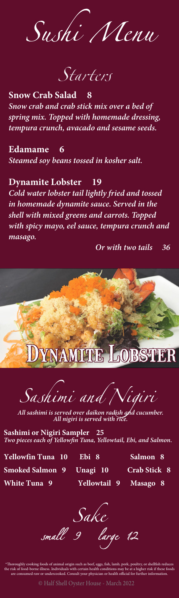Sushi Nenu

Starters

**Snow Crab Salad 8** *Snow crab and crab stick mix over a bed of spring mix. Topped with homemade dressing, tempura crunch, avacado and sesame seeds.*

**Edamame 6** *Steamed soy beans tossed in kosher salt.*

# **Dynamite Lobster 19**

*Cold water lobster tail lightly fried and tossed in homemade dynamite sauce. Served in the shell with mixed greens and carrots. Topped with spicy mayo, eel sauce, tempura crunch and masago.*

 *Or with two tails 36*



 $\overline{\mathit{S}_{as}}$ himi and

All sashimi is served over daikon radish and cucumber.<br>All nigiri is served with rice.

**Sashimi or Nigiri Sampler 25** *Two pieces each of Yellowfin Tuna, Yellowtail, Ebi, and Salmon.*

**Yellowfin Tuna 10 Ebi 8 Salmon 8 Smoked Salmon 9 Unagi 10 Crab Stick 8 White Tuna 9 Yellowtail 9 Masago 8**

Sake<br>small 9 large 12

\*Thoroughly cooking foods of animal origin such as beef, eggs, fish, lamb, pork, poultry, or shellfish reduces the risk of food-borne illness. Individuals with certain health conditions may be at a higher risk if these foods are consumed raw or undercooked. Consult your physician or health official for further information.